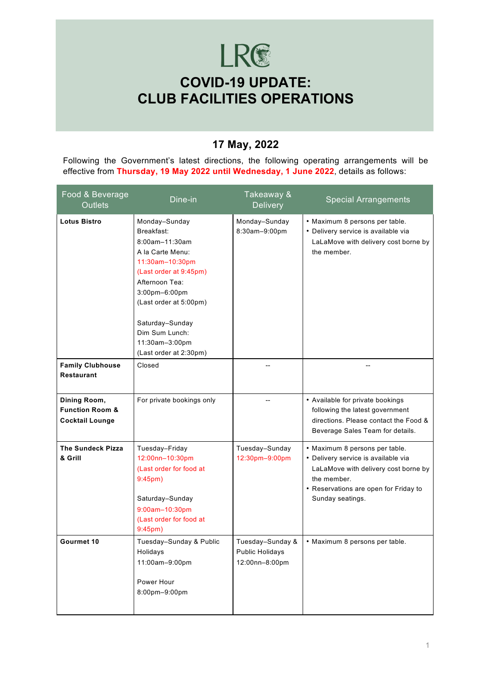

## **COVID-19 UPDATE: CLUB FACILITIES OPERATIONS**

## **17 May, 2022**

Following the Government's latest directions, the following operating arrangements will be effective from **Thursday, 19 May 2022 until Wednesday, 1 June 2022**, details as follows:

| Food & Beverage<br><b>Outlets</b>                                    | Dine-in                                                                                                                                                                                                                                                      | Takeaway &<br><b>Delivery</b>                         | <b>Special Arrangements</b>                                                                                                                                                               |
|----------------------------------------------------------------------|--------------------------------------------------------------------------------------------------------------------------------------------------------------------------------------------------------------------------------------------------------------|-------------------------------------------------------|-------------------------------------------------------------------------------------------------------------------------------------------------------------------------------------------|
| <b>Lotus Bistro</b>                                                  | Monday-Sunday<br>Breakfast:<br>8:00am-11:30am<br>A la Carte Menu:<br>11:30am-10:30pm<br>(Last order at 9:45pm)<br>Afternoon Tea:<br>3:00pm-6:00pm<br>(Last order at 5:00pm)<br>Saturday-Sunday<br>Dim Sum Lunch:<br>11:30am-3:00pm<br>(Last order at 2:30pm) | Monday-Sunday<br>8:30am-9:00pm                        | • Maximum 8 persons per table.<br>• Delivery service is available via<br>LaLaMove with delivery cost borne by<br>the member.                                                              |
| <b>Family Clubhouse</b><br><b>Restaurant</b>                         | Closed                                                                                                                                                                                                                                                       |                                                       |                                                                                                                                                                                           |
| Dining Room,<br><b>Function Room &amp;</b><br><b>Cocktail Lounge</b> | For private bookings only                                                                                                                                                                                                                                    |                                                       | • Available for private bookings<br>following the latest government<br>directions. Please contact the Food &<br>Beverage Sales Team for details.                                          |
| <b>The Sundeck Pizza</b><br>& Grill                                  | Tuesday-Friday<br>12:00nn-10:30pm<br>(Last order for food at<br>9:45 <sub>pm</sub><br>Saturday-Sunday<br>$9:00$ am $-10:30$ pm<br>(Last order for food at<br>9:45 <sub>pm</sub>                                                                              | Tuesday-Sunday<br>12:30pm-9:00pm                      | • Maximum 8 persons per table.<br>• Delivery service is available via<br>LaLaMove with delivery cost borne by<br>the member.<br>• Reservations are open for Friday to<br>Sunday seatings. |
| Gourmet 10                                                           | Tuesday-Sunday & Public<br>Holidays<br>11:00am-9:00pm<br>Power Hour<br>8:00pm-9:00pm                                                                                                                                                                         | Tuesday-Sunday &<br>Public Holidays<br>12:00nn-8:00pm | • Maximum 8 persons per table.                                                                                                                                                            |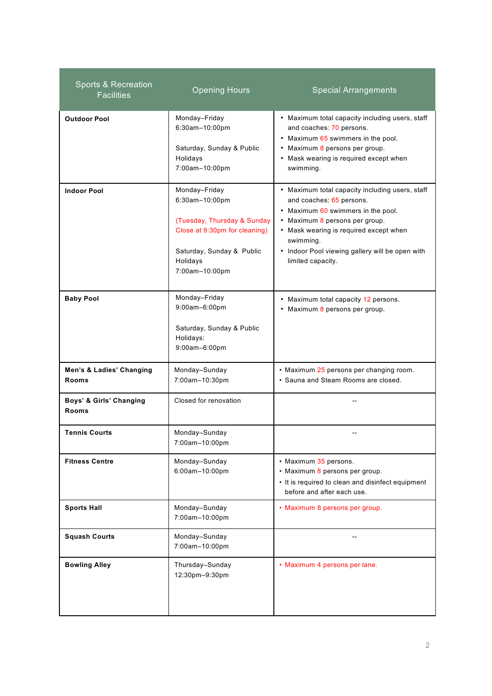| <b>Sports &amp; Recreation</b><br><b>Facilities</b> | <b>Opening Hours</b>                                                                                                                                       | <b>Special Arrangements</b>                                                                                                                                                                                                                                                        |
|-----------------------------------------------------|------------------------------------------------------------------------------------------------------------------------------------------------------------|------------------------------------------------------------------------------------------------------------------------------------------------------------------------------------------------------------------------------------------------------------------------------------|
| <b>Outdoor Pool</b>                                 | Monday-Friday<br>6:30am-10:00pm<br>Saturday, Sunday & Public<br>Holidays<br>7:00am-10:00pm                                                                 | • Maximum total capacity including users, staff<br>and coaches: 70 persons.<br>• Maximum 65 swimmers in the pool.<br>• Maximum 8 persons per group.<br>• Mask wearing is required except when<br>swimming.                                                                         |
| <b>Indoor Pool</b>                                  | Monday-Friday<br>6:30am-10:00pm<br>(Tuesday, Thursday & Sunday<br>Close at 9:30pm for cleaning)<br>Saturday, Sunday & Public<br>Holidays<br>7:00am-10:00pm | • Maximum total capacity including users, staff<br>and coaches: 65 persons.<br>• Maximum 60 swimmers in the pool.<br>• Maximum 8 persons per group.<br>• Mask wearing is required except when<br>swimming.<br>• Indoor Pool viewing gallery will be open with<br>limited capacity. |
| <b>Baby Pool</b>                                    | Monday-Friday<br>9:00am-6:00pm<br>Saturday, Sunday & Public<br>Holidays:<br>9:00am-6:00pm                                                                  | • Maximum total capacity 12 persons.<br>• Maximum 8 persons per group.                                                                                                                                                                                                             |
| Men's & Ladies' Changing<br>Rooms                   | Monday-Sunday<br>7:00am-10:30pm                                                                                                                            | • Maximum 25 persons per changing room.<br>• Sauna and Steam Rooms are closed.                                                                                                                                                                                                     |
| Boys' & Girls' Changing<br>Rooms                    | Closed for renovation                                                                                                                                      |                                                                                                                                                                                                                                                                                    |
| <b>Tennis Courts</b>                                | Monday-Sunday<br>7:00am-10:00pm                                                                                                                            |                                                                                                                                                                                                                                                                                    |
| <b>Fitness Centre</b>                               | Monday-Sunday<br>6:00am-10:00pm                                                                                                                            | • Maximum 35 persons.<br>• Maximum 8 persons per group.<br>• It is required to clean and disinfect equipment<br>before and after each use.                                                                                                                                         |
| <b>Sports Hall</b>                                  | Monday-Sunday<br>7:00am-10:00pm                                                                                                                            | • Maximum 8 persons per group.                                                                                                                                                                                                                                                     |
| <b>Squash Courts</b>                                | Monday-Sunday<br>7:00am-10:00pm                                                                                                                            |                                                                                                                                                                                                                                                                                    |
| <b>Bowling Alley</b>                                | Thursday-Sunday<br>12:30pm-9:30pm                                                                                                                          | • Maximum 4 persons per lane.                                                                                                                                                                                                                                                      |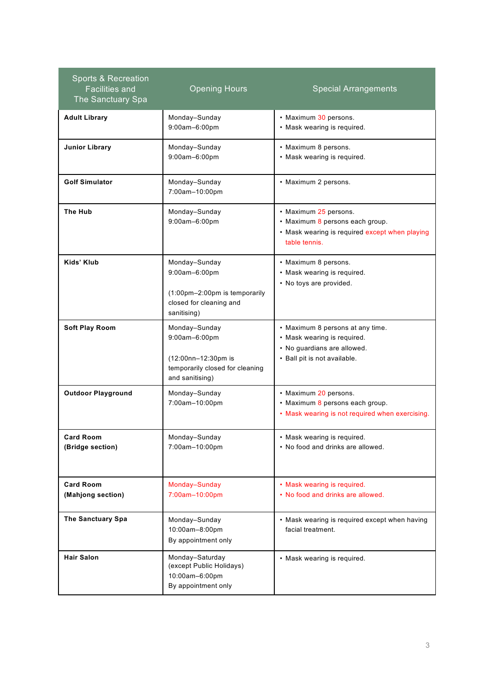| <b>Sports &amp; Recreation</b><br><b>Facilities and</b><br>The Sanctuary Spa | <b>Opening Hours</b>                                                                                        | <b>Special Arrangements</b>                                                                                                    |
|------------------------------------------------------------------------------|-------------------------------------------------------------------------------------------------------------|--------------------------------------------------------------------------------------------------------------------------------|
| <b>Adult Library</b>                                                         | Monday-Sunday<br>9:00am-6:00pm                                                                              | • Maximum 30 persons.<br>• Mask wearing is required.                                                                           |
| <b>Junior Library</b>                                                        | Monday-Sunday<br>9:00am-6:00pm                                                                              | • Maximum 8 persons.<br>• Mask wearing is required.                                                                            |
| <b>Golf Simulator</b>                                                        | Monday-Sunday<br>7:00am-10:00pm                                                                             | • Maximum 2 persons.                                                                                                           |
| The Hub                                                                      | Monday-Sunday<br>9:00am-6:00pm                                                                              | • Maximum 25 persons.<br>• Maximum 8 persons each group.<br>• Mask wearing is required except when playing<br>table tennis.    |
| Kids' Klub                                                                   | Monday-Sunday<br>9:00am-6:00pm<br>(1:00pm-2:00pm is temporarily<br>closed for cleaning and<br>sanitising)   | • Maximum 8 persons.<br>• Mask wearing is required.<br>• No toys are provided.                                                 |
| <b>Soft Play Room</b>                                                        | Monday-Sunday<br>9:00am-6:00pm<br>(12:00nn-12:30pm is<br>temporarily closed for cleaning<br>and sanitising) | • Maximum 8 persons at any time.<br>• Mask wearing is required.<br>• No guardians are allowed.<br>• Ball pit is not available. |
| <b>Outdoor Playground</b>                                                    | Monday-Sunday<br>7:00am-10:00pm                                                                             | • Maximum 20 persons.<br>• Maximum 8 persons each group.<br>• Mask wearing is not required when exercising.                    |
| <b>Card Room</b><br>(Bridge section)                                         | Monday-Sunday<br>7:00am-10:00pm                                                                             | • Mask wearing is required.<br>• No food and drinks are allowed.                                                               |
| <b>Card Room</b><br>(Mahjong section)                                        | Monday-Sunday<br>7:00am-10:00pm                                                                             | • Mask wearing is required.<br>. No food and drinks are allowed.                                                               |
| <b>The Sanctuary Spa</b>                                                     | Monday-Sunday<br>10:00am-8:00pm<br>By appointment only                                                      | • Mask wearing is required except when having<br>facial treatment.                                                             |
| <b>Hair Salon</b>                                                            | Monday-Saturday<br>(except Public Holidays)<br>10:00am-6:00pm<br>By appointment only                        | • Mask wearing is required.                                                                                                    |